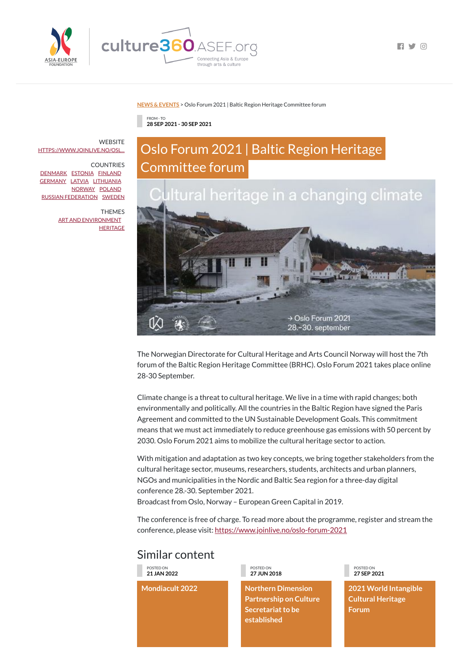



 $\Box$ 

## **NEWS & [EVENTS](https://culture360.asef.org/news-events/)** > Oslo Forum 2021 | Baltic Region Heritage Committee forum

## Similar content

FROM - TO **28 SEP 2021 - 30 SEP 2021**

## Oslo Forum 2021 | Baltic Region Heritage Committee forum



The Norwegian Directorate for Cultural Heritage and Arts Council Norway will host the 7th forum of the Baltic Region Heritage Committee (BRHC). Oslo Forum 2021 takes place online 28-30 September.

Climate change is a threat to cultural heritage. We live in a time with rapid changes; both environmentally and politically. All the countries in the Baltic Region have signed the Paris Agreement and committed to the UN Sustainable Development Goals. This commitment means that we must act immediately to reduce greenhouse gas emissions with 50 percent by 2030. Oslo Forum 2021 aims to mobilize the cultural heritage sector to action.

**WEBSITE** [HTTPS://WWW.JOINLIVE.NO/OSL...](https://www.joinlive.no/oslo-forum-2021)

> THEMES ART AND [ENVIRONMENT](https://culture360.asef.org/themes/art-and-environment/) **[HERITAGE](https://culture360.asef.org/themes/heritage/)**

> > With mitigation and adaptation as two key concepts, we bring together stakeholders from the cultural heritage sector, museums, researchers, students, architects and urban planners, NGOs and municipalities in the Nordic and Baltic Sea region for a three-day digital conference 28.-30. September 2021.

Broadcast from Oslo, Norway – European Green Capital in 2019.

The conference is free of charge. To read more about the programme, register and stream the conference, please visit: [https://www.joinlive.no/oslo-forum-2021](https://www.joinlive.no/oslo-forum-2021?fbclid=IwAR3cNwSlv5mKKdF3GH4YzRRZjsBYEIHehgqhxMDw8YJC_uVWCehfmcH42dI)

POSTED ON **21 JAN 2022**

**Mondiacult 2022**

POSTED ON **27 JUN 2018**

**Northern Dimension Partnership on Culture Secretariat to be established**

POSTED ON **27 SEP 2021**

**2021 World Intangible Cultural Heritage Forum**

COUNTRIES [DENMARK](https://culture360.asef.org/countries/denmark/) [ESTONIA](https://culture360.asef.org/countries/estonia/) [FINLAND](https://culture360.asef.org/countries/finland/) [GERMANY](https://culture360.asef.org/countries/germany/) [LATVIA](https://culture360.asef.org/countries/latvia/) [LITHUANIA](https://culture360.asef.org/countries/lithuania/) [NORWAY](https://culture360.asef.org/countries/norway/) [POLAND](https://culture360.asef.org/countries/poland/) RUSSIAN [FEDERATION](https://culture360.asef.org/countries/russian-federation/) [SWEDEN](https://culture360.asef.org/countries/sweden/)